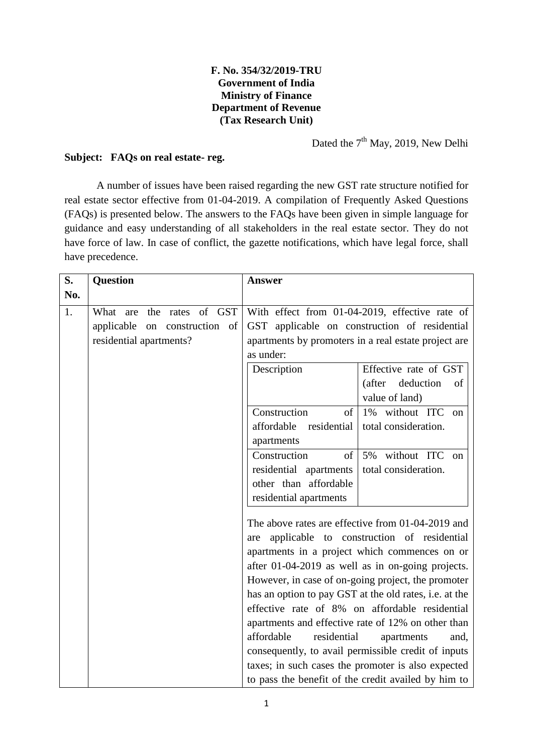## **F. No. 354/32/2019-TRU Government of India Ministry of Finance Department of Revenue (Tax Research Unit)**

Dated the 7<sup>th</sup> May, 2019, New Delhi

## **Subject: FAQs on real estate- reg.**

A number of issues have been raised regarding the new GST rate structure notified for real estate sector effective from 01-04-2019. A compilation of Frequently Asked Questions (FAQs) is presented below. The answers to the FAQs have been given in simple language for guidance and easy understanding of all stakeholders in the real estate sector. They do not have force of law. In case of conflict, the gazette notifications, which have legal force, shall have precedence.

| S.  | <b>Question</b>               | <b>Answer</b>                                                                                                      |                                                        |
|-----|-------------------------------|--------------------------------------------------------------------------------------------------------------------|--------------------------------------------------------|
| No. |                               |                                                                                                                    |                                                        |
| 1.  | What are the rates of GST     |                                                                                                                    | With effect from 01-04-2019, effective rate of         |
|     | applicable on construction of |                                                                                                                    | GST applicable on construction of residential          |
|     | residential apartments?       |                                                                                                                    | apartments by promoters in a real estate project are   |
|     |                               | as under:                                                                                                          |                                                        |
|     |                               | Description                                                                                                        | Effective rate of GST                                  |
|     |                               |                                                                                                                    | (after<br>deduction<br>of                              |
|     |                               |                                                                                                                    | value of land)                                         |
|     |                               | Construction<br>$% \left( \left( \mathcal{A},\mathcal{A}\right) \right) =\left( \mathcal{A},\mathcal{A}\right)$ of | 1% without ITC on                                      |
|     |                               | affordable residential                                                                                             | total consideration.                                   |
|     |                               | apartments                                                                                                         |                                                        |
|     |                               | Construction<br>of                                                                                                 | 5% without ITC<br>$_{\rm on}$                          |
|     |                               | residential apartments                                                                                             | total consideration.                                   |
|     |                               | other than affordable                                                                                              |                                                        |
|     |                               | residential apartments                                                                                             |                                                        |
|     |                               |                                                                                                                    | The above rates are effective from 01-04-2019 and      |
|     |                               | are                                                                                                                | applicable to construction of residential              |
|     |                               |                                                                                                                    | apartments in a project which commences on or          |
|     |                               |                                                                                                                    | after 01-04-2019 as well as in on-going projects.      |
|     |                               |                                                                                                                    | However, in case of on-going project, the promoter     |
|     |                               |                                                                                                                    | has an option to pay GST at the old rates, i.e. at the |
|     |                               |                                                                                                                    | effective rate of 8% on affordable residential         |
|     |                               |                                                                                                                    | apartments and effective rate of 12% on other than     |
|     |                               | affordable<br>residential                                                                                          | apartments<br>and,                                     |
|     |                               |                                                                                                                    | consequently, to avail permissible credit of inputs    |
|     |                               |                                                                                                                    | taxes; in such cases the promoter is also expected     |
|     |                               |                                                                                                                    | to pass the benefit of the credit availed by him to    |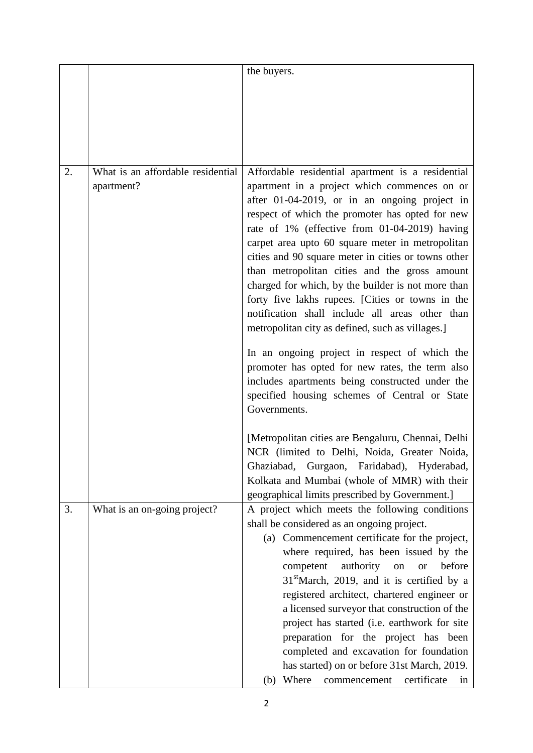|    |                                                 | the buyers.                                                                                                                                                                                                                                                                                                                                                                                                                                                                                                                                                                     |
|----|-------------------------------------------------|---------------------------------------------------------------------------------------------------------------------------------------------------------------------------------------------------------------------------------------------------------------------------------------------------------------------------------------------------------------------------------------------------------------------------------------------------------------------------------------------------------------------------------------------------------------------------------|
|    |                                                 |                                                                                                                                                                                                                                                                                                                                                                                                                                                                                                                                                                                 |
|    |                                                 |                                                                                                                                                                                                                                                                                                                                                                                                                                                                                                                                                                                 |
|    |                                                 |                                                                                                                                                                                                                                                                                                                                                                                                                                                                                                                                                                                 |
|    |                                                 |                                                                                                                                                                                                                                                                                                                                                                                                                                                                                                                                                                                 |
|    |                                                 |                                                                                                                                                                                                                                                                                                                                                                                                                                                                                                                                                                                 |
|    |                                                 |                                                                                                                                                                                                                                                                                                                                                                                                                                                                                                                                                                                 |
| 2. | What is an affordable residential<br>apartment? | Affordable residential apartment is a residential<br>apartment in a project which commences on or<br>after 01-04-2019, or in an ongoing project in<br>respect of which the promoter has opted for new<br>rate of 1% (effective from 01-04-2019) having<br>carpet area upto 60 square meter in metropolitan<br>cities and 90 square meter in cities or towns other<br>than metropolitan cities and the gross amount                                                                                                                                                              |
|    |                                                 | charged for which, by the builder is not more than<br>forty five lakhs rupees. [Cities or towns in the<br>notification shall include all areas other than<br>metropolitan city as defined, such as villages.]                                                                                                                                                                                                                                                                                                                                                                   |
|    |                                                 | In an ongoing project in respect of which the<br>promoter has opted for new rates, the term also<br>includes apartments being constructed under the<br>specified housing schemes of Central or State<br>Governments.                                                                                                                                                                                                                                                                                                                                                            |
|    |                                                 | [Metropolitan cities are Bengaluru, Chennai, Delhi<br>NCR (limited to Delhi, Noida, Greater Noida,<br>Ghaziabad,<br>Gurgaon, Faridabad), Hyderabad,<br>Kolkata and Mumbai (whole of MMR) with their                                                                                                                                                                                                                                                                                                                                                                             |
| 3. | What is an on-going project?                    | A project which meets the following conditions                                                                                                                                                                                                                                                                                                                                                                                                                                                                                                                                  |
|    |                                                 |                                                                                                                                                                                                                                                                                                                                                                                                                                                                                                                                                                                 |
|    |                                                 |                                                                                                                                                                                                                                                                                                                                                                                                                                                                                                                                                                                 |
|    |                                                 |                                                                                                                                                                                                                                                                                                                                                                                                                                                                                                                                                                                 |
|    |                                                 |                                                                                                                                                                                                                                                                                                                                                                                                                                                                                                                                                                                 |
|    |                                                 |                                                                                                                                                                                                                                                                                                                                                                                                                                                                                                                                                                                 |
|    |                                                 |                                                                                                                                                                                                                                                                                                                                                                                                                                                                                                                                                                                 |
|    |                                                 |                                                                                                                                                                                                                                                                                                                                                                                                                                                                                                                                                                                 |
|    |                                                 |                                                                                                                                                                                                                                                                                                                                                                                                                                                                                                                                                                                 |
|    |                                                 |                                                                                                                                                                                                                                                                                                                                                                                                                                                                                                                                                                                 |
|    |                                                 |                                                                                                                                                                                                                                                                                                                                                                                                                                                                                                                                                                                 |
|    |                                                 | Where<br>certificate<br>(b)<br>commencement<br>in                                                                                                                                                                                                                                                                                                                                                                                                                                                                                                                               |
|    |                                                 | geographical limits prescribed by Government.]<br>shall be considered as an ongoing project.<br>(a) Commencement certificate for the project,<br>where required, has been issued by the<br>authority<br>before<br>competent<br>on<br><b>or</b><br>$31st$ March, 2019, and it is certified by a<br>registered architect, chartered engineer or<br>a licensed surveyor that construction of the<br>project has started (i.e. earthwork for site<br>preparation for the project has been<br>completed and excavation for foundation<br>has started) on or before 31st March, 2019. |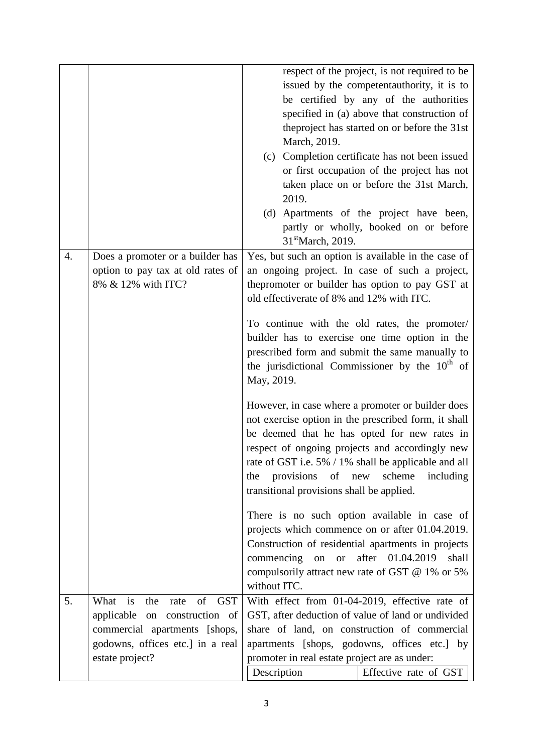|                  |                                                                                                                                                                     | respect of the project, is not required to be<br>issued by the competentauthority, it is to<br>be certified by any of the authorities<br>specified in (a) above that construction of<br>the project has started on or before the 31st<br>March, 2019.<br>(c) Completion certificate has not been issued<br>or first occupation of the project has not<br>taken place on or before the 31st March,<br>2019.<br>(d) Apartments of the project have been,<br>partly or wholly, booked on or before<br>31 <sup>st</sup> March, 2019. |
|------------------|---------------------------------------------------------------------------------------------------------------------------------------------------------------------|----------------------------------------------------------------------------------------------------------------------------------------------------------------------------------------------------------------------------------------------------------------------------------------------------------------------------------------------------------------------------------------------------------------------------------------------------------------------------------------------------------------------------------|
| $\overline{4}$ . | Does a promoter or a builder has<br>option to pay tax at old rates of<br>8% & 12% with ITC?                                                                         | Yes, but such an option is available in the case of<br>an ongoing project. In case of such a project,<br>the promoter or builder has option to pay GST at<br>old effectiverate of 8% and 12% with ITC.<br>To continue with the old rates, the promoter/<br>builder has to exercise one time option in the<br>prescribed form and submit the same manually to<br>the jurisdictional Commissioner by the $10th$ of<br>May, 2019.                                                                                                   |
|                  |                                                                                                                                                                     | However, in case where a promoter or builder does<br>not exercise option in the prescribed form, it shall<br>be deemed that he has opted for new rates in<br>respect of ongoing projects and accordingly new<br>rate of GST i.e. 5% / 1% shall be applicable and all<br>provisions of new<br>scheme<br>including<br>the<br>transitional provisions shall be applied.                                                                                                                                                             |
|                  |                                                                                                                                                                     | There is no such option available in case of<br>projects which commence on or after 01.04.2019.<br>Construction of residential apartments in projects<br>after 01.04.2019<br>commencing on or<br>shall<br>compulsorily attract new rate of GST @ 1% or 5%<br>without ITC.                                                                                                                                                                                                                                                        |
| 5.               | of<br>What is<br><b>GST</b><br>the<br>rate<br>applicable on construction of<br>commercial apartments [shops,<br>godowns, offices etc.] in a real<br>estate project? | With effect from 01-04-2019, effective rate of<br>GST, after deduction of value of land or undivided<br>share of land, on construction of commercial<br>apartments [shops, godowns, offices etc.] by<br>promoter in real estate project are as under:<br>Description<br>Effective rate of GST                                                                                                                                                                                                                                    |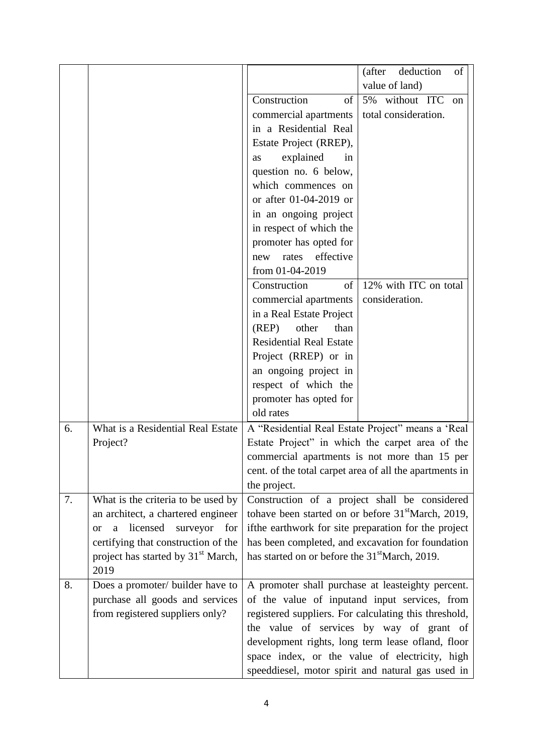|    |                                                          |                                                            | deduction<br>(after<br>of                                      |
|----|----------------------------------------------------------|------------------------------------------------------------|----------------------------------------------------------------|
|    |                                                          |                                                            | value of land)                                                 |
|    |                                                          | Construction<br>of                                         | 5% without ITC<br>on                                           |
|    |                                                          | commercial apartments                                      | total consideration.                                           |
|    |                                                          | in a Residential Real                                      |                                                                |
|    |                                                          | Estate Project (RREP),                                     |                                                                |
|    |                                                          | explained<br>in<br>as                                      |                                                                |
|    |                                                          | question no. 6 below,                                      |                                                                |
|    |                                                          | which commences on                                         |                                                                |
|    |                                                          | or after 01-04-2019 or                                     |                                                                |
|    |                                                          | in an ongoing project                                      |                                                                |
|    |                                                          | in respect of which the                                    |                                                                |
|    |                                                          | promoter has opted for                                     |                                                                |
|    |                                                          | effective<br>rates<br>new                                  |                                                                |
|    |                                                          | from 01-04-2019                                            |                                                                |
|    |                                                          | Construction<br>of                                         | 12% with ITC on total                                          |
|    |                                                          | commercial apartments                                      | consideration.                                                 |
|    |                                                          | in a Real Estate Project                                   |                                                                |
|    |                                                          | (REP)<br>other<br>than                                     |                                                                |
|    |                                                          | <b>Residential Real Estate</b>                             |                                                                |
|    |                                                          | Project (RREP) or in                                       |                                                                |
|    |                                                          | an ongoing project in                                      |                                                                |
|    |                                                          | respect of which the                                       |                                                                |
|    |                                                          | promoter has opted for                                     |                                                                |
|    |                                                          | old rates                                                  |                                                                |
| 6. | What is a Residential Real Estate                        |                                                            | A "Residential Real Estate Project" means a 'Real              |
|    | Project?                                                 |                                                            | Estate Project" in which the carpet area of the                |
|    |                                                          |                                                            | commercial apartments is not more than 15 per                  |
|    |                                                          |                                                            | cent. of the total carpet area of all the apartments in        |
|    |                                                          | the project.                                               |                                                                |
| 7. | What is the criteria to be used by                       |                                                            | Construction of a project shall be considered                  |
|    | an architect, a chartered engineer                       |                                                            | tohave been started on or before 31 <sup>st</sup> March, 2019, |
|    | licensed<br>surveyor<br>for<br>$\mathbf{a}$<br><b>or</b> |                                                            | ifthe earthwork for site preparation for the project           |
|    | certifying that construction of the                      |                                                            | has been completed, and excavation for foundation              |
|    | project has started by 31 <sup>st</sup> March,           | has started on or before the 31 <sup>st</sup> March, 2019. |                                                                |
|    | 2019                                                     |                                                            |                                                                |
| 8. | Does a promoter/ builder have to                         |                                                            | A promoter shall purchase at leasteighty percent.              |
|    | purchase all goods and services                          |                                                            | of the value of inputand input services, from                  |
|    | from registered suppliers only?                          |                                                            | registered suppliers. For calculating this threshold,          |
|    |                                                          |                                                            | the value of services by way of grant of                       |
|    |                                                          |                                                            | development rights, long term lease ofland, floor              |
|    |                                                          |                                                            | space index, or the value of electricity, high                 |
|    |                                                          |                                                            | speeddiesel, motor spirit and natural gas used in              |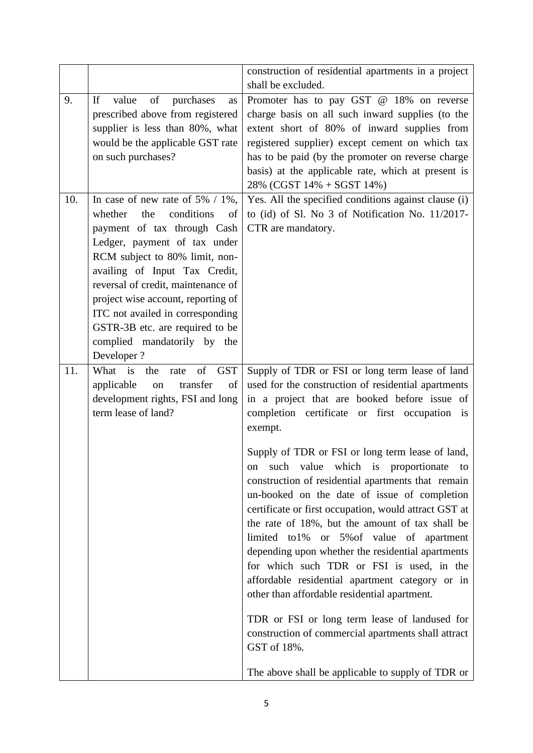|     |                                                                                                                                                                                                                                                                                                                                                                                                            | construction of residential apartments in a project                                                                                                                                                                                                                                                                                                                                                                                                                                                                                                                                                                                                                                                                                                                                                                                                                                                                  |
|-----|------------------------------------------------------------------------------------------------------------------------------------------------------------------------------------------------------------------------------------------------------------------------------------------------------------------------------------------------------------------------------------------------------------|----------------------------------------------------------------------------------------------------------------------------------------------------------------------------------------------------------------------------------------------------------------------------------------------------------------------------------------------------------------------------------------------------------------------------------------------------------------------------------------------------------------------------------------------------------------------------------------------------------------------------------------------------------------------------------------------------------------------------------------------------------------------------------------------------------------------------------------------------------------------------------------------------------------------|
|     |                                                                                                                                                                                                                                                                                                                                                                                                            | shall be excluded.                                                                                                                                                                                                                                                                                                                                                                                                                                                                                                                                                                                                                                                                                                                                                                                                                                                                                                   |
| 9.  | of<br>If<br>value<br>purchases<br>as<br>prescribed above from registered<br>supplier is less than 80%, what<br>would be the applicable GST rate<br>on such purchases?                                                                                                                                                                                                                                      | Promoter has to pay GST @ 18% on reverse<br>charge basis on all such inward supplies (to the<br>extent short of 80% of inward supplies from<br>registered supplier) except cement on which tax<br>has to be paid (by the promoter on reverse charge<br>basis) at the applicable rate, which at present is<br>28% (CGST 14% + SGST 14%)                                                                                                                                                                                                                                                                                                                                                                                                                                                                                                                                                                               |
| 10. | In case of new rate of $5\%$ / 1%,<br>conditions<br>whether<br>the<br>of<br>payment of tax through Cash<br>Ledger, payment of tax under<br>RCM subject to 80% limit, non-<br>availing of Input Tax Credit,<br>reversal of credit, maintenance of<br>project wise account, reporting of<br>ITC not availed in corresponding<br>GSTR-3B etc. are required to be<br>complied mandatorily by the<br>Developer? | Yes. All the specified conditions against clause (i)<br>to (id) of Sl. No 3 of Notification No. 11/2017-<br>CTR are mandatory.                                                                                                                                                                                                                                                                                                                                                                                                                                                                                                                                                                                                                                                                                                                                                                                       |
| 11. | What is the<br>of<br><b>GST</b><br>rate<br>transfer<br>applicable<br>of<br>on<br>development rights, FSI and long<br>term lease of land?                                                                                                                                                                                                                                                                   | Supply of TDR or FSI or long term lease of land<br>used for the construction of residential apartments<br>in a project that are booked before issue of<br>completion certificate or first occupation is<br>exempt.<br>Supply of TDR or FSI or long term lease of land,<br>value<br>which is proportionate to<br>such<br>on<br>construction of residential apartments that remain<br>un-booked on the date of issue of completion<br>certificate or first occupation, would attract GST at<br>the rate of 18%, but the amount of tax shall be<br>limited to1% or 5% of value of apartment<br>depending upon whether the residential apartments<br>for which such TDR or FSI is used, in the<br>affordable residential apartment category or in<br>other than affordable residential apartment.<br>TDR or FSI or long term lease of landused for<br>construction of commercial apartments shall attract<br>GST of 18%. |
|     |                                                                                                                                                                                                                                                                                                                                                                                                            | The above shall be applicable to supply of TDR or                                                                                                                                                                                                                                                                                                                                                                                                                                                                                                                                                                                                                                                                                                                                                                                                                                                                    |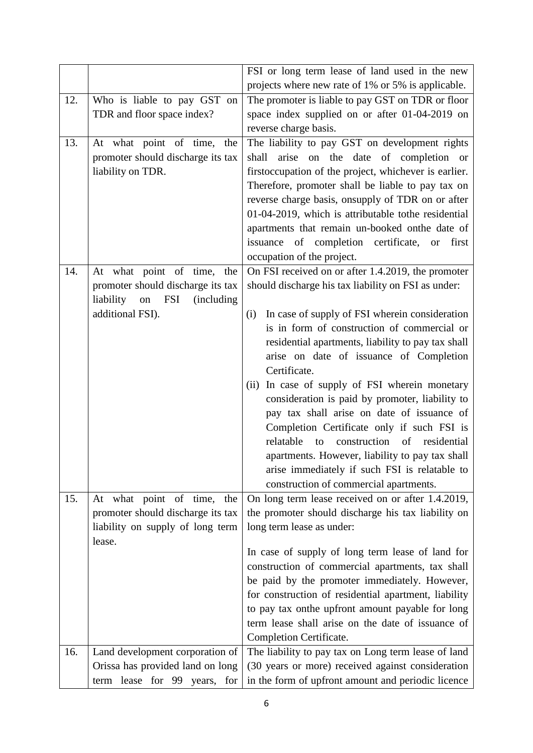|     |                                                                                                                                            | FSI or long term lease of land used in the new                                                                                                                                                                                                                                                                                                                                                                                                              |
|-----|--------------------------------------------------------------------------------------------------------------------------------------------|-------------------------------------------------------------------------------------------------------------------------------------------------------------------------------------------------------------------------------------------------------------------------------------------------------------------------------------------------------------------------------------------------------------------------------------------------------------|
|     |                                                                                                                                            | projects where new rate of 1% or 5% is applicable.                                                                                                                                                                                                                                                                                                                                                                                                          |
| 12. | Who is liable to pay GST on<br>TDR and floor space index?                                                                                  | The promoter is liable to pay GST on TDR or floor<br>space index supplied on or after 01-04-2019 on<br>reverse charge basis.                                                                                                                                                                                                                                                                                                                                |
| 13. | At what point of time,<br>the<br>promoter should discharge its tax<br>liability on TDR.                                                    | The liability to pay GST on development rights<br>arise on the date of completion or<br>shall<br>firstoccupation of the project, whichever is earlier.<br>Therefore, promoter shall be liable to pay tax on<br>reverse charge basis, onsupply of TDR on or after<br>01-04-2019, which is attributable to the residential<br>apartments that remain un-booked onthe date of<br>issuance of completion certificate, or<br>first<br>occupation of the project. |
| 14. | At what point of time, the<br>promoter should discharge its tax<br>liability<br><b>FSI</b><br><i>(including)</i><br>on<br>additional FSI). | On FSI received on or after 1.4.2019, the promoter<br>should discharge his tax liability on FSI as under:<br>In case of supply of FSI wherein consideration<br>(i)<br>is in form of construction of commercial or                                                                                                                                                                                                                                           |
|     |                                                                                                                                            | residential apartments, liability to pay tax shall<br>arise on date of issuance of Completion<br>Certificate.<br>(ii) In case of supply of FSI wherein monetary<br>consideration is paid by promoter, liability to<br>pay tax shall arise on date of issuance of<br>Completion Certificate only if such FSI is<br>relatable<br>construction of residential<br>to<br>apartments. However, liability to pay tax shall                                         |
|     |                                                                                                                                            | arise immediately if such FSI is relatable to<br>construction of commercial apartments.                                                                                                                                                                                                                                                                                                                                                                     |
| 15. | At what point of time, the<br>promoter should discharge its tax<br>liability on supply of long term<br>lease.                              | On long term lease received on or after 1.4.2019,<br>the promoter should discharge his tax liability on<br>long term lease as under:                                                                                                                                                                                                                                                                                                                        |
|     |                                                                                                                                            | In case of supply of long term lease of land for<br>construction of commercial apartments, tax shall<br>be paid by the promoter immediately. However,<br>for construction of residential apartment, liability<br>to pay tax on the upfront amount payable for long<br>term lease shall arise on the date of issuance of<br>Completion Certificate.                                                                                                          |
| 16. | Land development corporation of<br>Orissa has provided land on long<br>term lease for 99 years,<br>for                                     | The liability to pay tax on Long term lease of land<br>(30 years or more) received against consideration<br>in the form of upfront amount and periodic licence                                                                                                                                                                                                                                                                                              |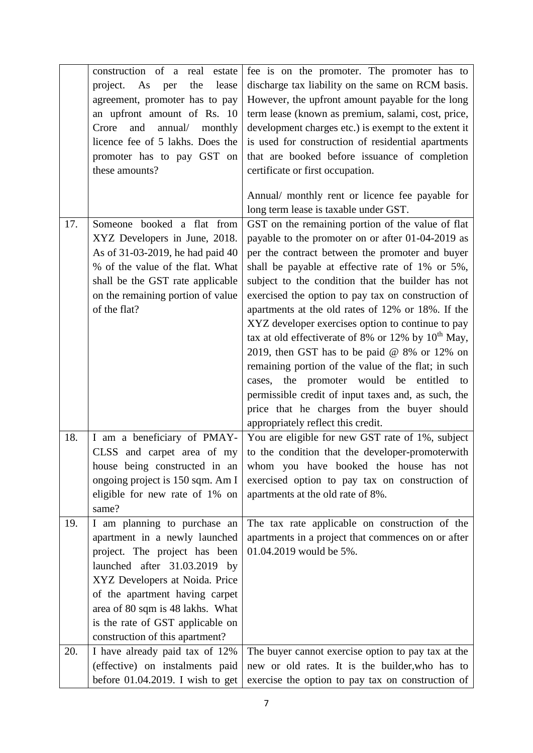|     | construction of a real<br>estate      | fee is on the promoter. The promoter has to             |
|-----|---------------------------------------|---------------------------------------------------------|
|     | project.<br>As<br>the<br>lease<br>per | discharge tax liability on the same on RCM basis.       |
|     | agreement, promoter has to pay        | However, the upfront amount payable for the long        |
|     |                                       | term lease (known as premium, salami, cost, price,      |
|     | an upfront amount of Rs. 10           |                                                         |
|     | Crore<br>and<br>annual/<br>monthly    | development charges etc.) is exempt to the extent it    |
|     | licence fee of 5 lakhs. Does the      | is used for construction of residential apartments      |
|     | promoter has to pay GST on            | that are booked before issuance of completion           |
|     | these amounts?                        | certificate or first occupation.                        |
|     |                                       | Annual/ monthly rent or licence fee payable for         |
|     |                                       | long term lease is taxable under GST.                   |
| 17. | Someone booked a flat from            | GST on the remaining portion of the value of flat       |
|     | XYZ Developers in June, 2018.         | payable to the promoter on or after 01-04-2019 as       |
|     | As of 31-03-2019, he had paid 40      | per the contract between the promoter and buyer         |
|     | % of the value of the flat. What      | shall be payable at effective rate of 1% or 5%,         |
|     | shall be the GST rate applicable      | subject to the condition that the builder has not       |
|     | on the remaining portion of value     | exercised the option to pay tax on construction of      |
|     | of the flat?                          | apartments at the old rates of 12% or 18%. If the       |
|     |                                       | XYZ developer exercises option to continue to pay       |
|     |                                       | tax at old effectiverate of 8% or 12% by $10^{th}$ May, |
|     |                                       |                                                         |
|     |                                       | 2019, then GST has to be paid $@$ 8% or 12% on          |
|     |                                       | remaining portion of the value of the flat; in such     |
|     |                                       | cases, the promoter would be entitled to                |
|     |                                       | permissible credit of input taxes and, as such, the     |
|     |                                       | price that he charges from the buyer should             |
|     |                                       | appropriately reflect this credit.                      |
| 18. | I am a beneficiary of PMAY-           | You are eligible for new GST rate of 1%, subject        |
|     | CLSS and carpet area of my            | to the condition that the developer-promoterwith        |
|     | house being constructed in an         | whom you have booked the house has not                  |
|     | ongoing project is 150 sqm. Am I      | exercised option to pay tax on construction of          |
|     | eligible for new rate of 1% on        | apartments at the old rate of 8%.                       |
|     | same?                                 |                                                         |
| 19. | I am planning to purchase an          | The tax rate applicable on construction of the          |
|     | apartment in a newly launched         | apartments in a project that commences on or after      |
|     | project. The project has been         | 01.04.2019 would be 5%.                                 |
|     | launched after 31.03.2019 by          |                                                         |
|     | XYZ Developers at Noida. Price        |                                                         |
|     | of the apartment having carpet        |                                                         |
|     | area of 80 sqm is 48 lakhs. What      |                                                         |
|     | is the rate of GST applicable on      |                                                         |
|     | construction of this apartment?       |                                                         |
| 20. | I have already paid tax of 12%        | The buyer cannot exercise option to pay tax at the      |
|     | (effective) on instalments paid       | new or old rates. It is the builder, who has to         |
|     | before $01.04.2019$ . I wish to get   | exercise the option to pay tax on construction of       |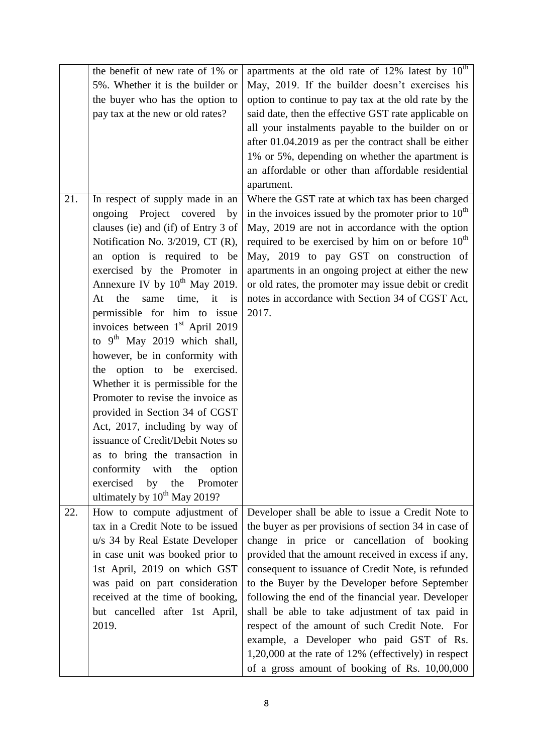|     | the benefit of new rate of 1% or            | apartments at the old rate of 12% latest by 10 <sup>th</sup> |
|-----|---------------------------------------------|--------------------------------------------------------------|
|     | 5%. Whether it is the builder or            | May, 2019. If the builder doesn't exercises his              |
|     | the buyer who has the option to             | option to continue to pay tax at the old rate by the         |
|     | pay tax at the new or old rates?            | said date, then the effective GST rate applicable on         |
|     |                                             | all your instalments payable to the builder on or            |
|     |                                             | after 01.04.2019 as per the contract shall be either         |
|     |                                             | 1% or 5%, depending on whether the apartment is              |
|     |                                             | an affordable or other than affordable residential           |
|     |                                             | apartment.                                                   |
| 21. | In respect of supply made in an             | Where the GST rate at which tax has been charged             |
|     | ongoing Project covered<br>by               | in the invoices issued by the promoter prior to $10th$       |
|     | clauses (ie) and (if) of Entry 3 of         | May, 2019 are not in accordance with the option              |
|     | Notification No. 3/2019, CT (R),            | required to be exercised by him on or before $10th$          |
|     | an option is required to be                 | May, 2019 to pay GST on construction of                      |
|     | exercised by the Promoter in                | apartments in an ongoing project at either the new           |
|     | Annexure IV by 10 <sup>th</sup> May 2019.   | or old rates, the promoter may issue debit or credit         |
|     | the<br>same<br>time, it is<br>At            | notes in accordance with Section 34 of CGST Act,             |
|     | permissible for him to issue                | 2017.                                                        |
|     | invoices between 1 <sup>st</sup> April 2019 |                                                              |
|     | to $9th$ May 2019 which shall,              |                                                              |
|     | however, be in conformity with              |                                                              |
|     | the option to be exercised.                 |                                                              |
|     | Whether it is permissible for the           |                                                              |
|     | Promoter to revise the invoice as           |                                                              |
|     | provided in Section 34 of CGST              |                                                              |
|     | Act, 2017, including by way of              |                                                              |
|     | issuance of Credit/Debit Notes so           |                                                              |
|     | as to bring the transaction in              |                                                              |
|     | conformity with the<br>option               |                                                              |
|     | exercised<br>Promoter<br>by the             |                                                              |
|     | ultimately by $10^{th}$ May 2019?           |                                                              |
| 22. | How to compute adjustment of                | Developer shall be able to issue a Credit Note to            |
|     | tax in a Credit Note to be issued           | the buyer as per provisions of section 34 in case of         |
|     | u/s 34 by Real Estate Developer             | change in price or cancellation of booking                   |
|     | in case unit was booked prior to            | provided that the amount received in excess if any,          |
|     | 1st April, 2019 on which GST                | consequent to issuance of Credit Note, is refunded           |
|     | was paid on part consideration              | to the Buyer by the Developer before September               |
|     | received at the time of booking,            | following the end of the financial year. Developer           |
|     | but cancelled after 1st April,              | shall be able to take adjustment of tax paid in              |
|     | 2019.                                       | respect of the amount of such Credit Note. For               |
|     |                                             | example, a Developer who paid GST of Rs.                     |
|     |                                             | 1,20,000 at the rate of 12% (effectively) in respect         |
|     |                                             | of a gross amount of booking of Rs. 10,00,000                |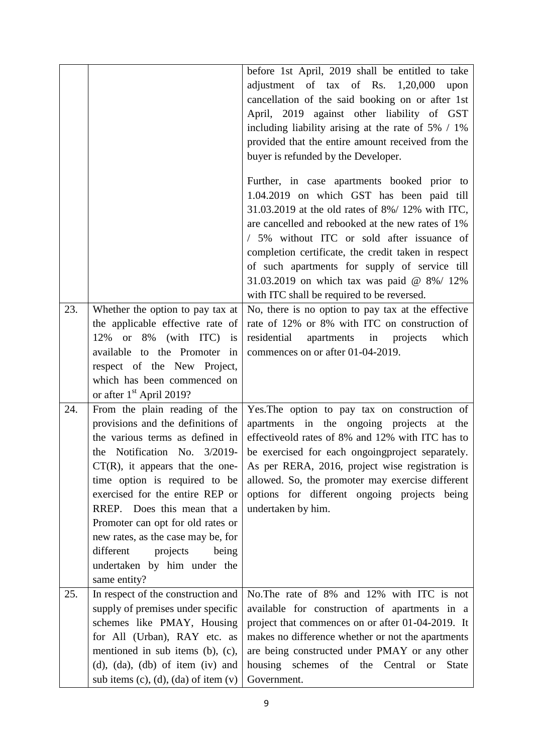|     |                                                                                                                                                                                                                                                                                                                                                                                                                                            | before 1st April, 2019 shall be entitled to take<br>adjustment of $\text{tax}$ of Rs. 1,20,000<br>upon<br>cancellation of the said booking on or after 1st<br>April, 2019 against other liability of GST<br>including liability arising at the rate of $5\%$ / 1%<br>provided that the entire amount received from the<br>buyer is refunded by the Developer.<br>Further, in case apartments booked prior to<br>1.04.2019 on which GST has been paid till<br>31.03.2019 at the old rates of 8%/ 12% with ITC,<br>are cancelled and rebooked at the new rates of 1% |
|-----|--------------------------------------------------------------------------------------------------------------------------------------------------------------------------------------------------------------------------------------------------------------------------------------------------------------------------------------------------------------------------------------------------------------------------------------------|--------------------------------------------------------------------------------------------------------------------------------------------------------------------------------------------------------------------------------------------------------------------------------------------------------------------------------------------------------------------------------------------------------------------------------------------------------------------------------------------------------------------------------------------------------------------|
|     |                                                                                                                                                                                                                                                                                                                                                                                                                                            | / 5% without ITC or sold after issuance of<br>completion certificate, the credit taken in respect<br>of such apartments for supply of service till<br>31.03.2019 on which tax was paid @ 8%/ 12%<br>with ITC shall be required to be reversed.                                                                                                                                                                                                                                                                                                                     |
| 23. | Whether the option to pay tax at<br>the applicable effective rate of<br>12% or 8% (with ITC) is<br>available to the Promoter<br>in<br>respect of the New Project,<br>which has been commenced on<br>or after 1 <sup>st</sup> April 2019?                                                                                                                                                                                                   | No, there is no option to pay tax at the effective<br>rate of 12% or 8% with ITC on construction of<br>residential<br>apartments in projects<br>which<br>commences on or after 01-04-2019.                                                                                                                                                                                                                                                                                                                                                                         |
| 24. | From the plain reading of the<br>provisions and the definitions of<br>the various terms as defined in<br>the Notification No. 3/2019-<br>$CT(R)$ , it appears that the one-<br>time option is required to be<br>exercised for the entire REP or<br>RREP. Does this mean that a<br>Promoter can opt for old rates or<br>new rates, as the case may be, for<br>different<br>projects<br>being<br>undertaken by him under the<br>same entity? | Yes. The option to pay tax on construction of<br>apartments in the ongoing projects at the<br>effectiveold rates of 8% and 12% with ITC has to<br>be exercised for each ongoing project separately.<br>As per RERA, 2016, project wise registration is<br>allowed. So, the promoter may exercise different<br>options for different ongoing projects being<br>undertaken by him.                                                                                                                                                                                   |
| 25. | In respect of the construction and<br>supply of premises under specific<br>schemes like PMAY, Housing<br>for All (Urban), RAY etc. as<br>mentioned in sub items (b), (c),<br>$(d)$ , $(da)$ , $(db)$ of item $(iv)$ and<br>sub items (c), (d), (da) of item $(v)$                                                                                                                                                                          | No. The rate of 8% and 12% with ITC is not<br>available for construction of apartments in a<br>project that commences on or after 01-04-2019. It<br>makes no difference whether or not the apartments<br>are being constructed under PMAY or any other<br>housing schemes of the Central<br><b>State</b><br><b>or</b><br>Government.                                                                                                                                                                                                                               |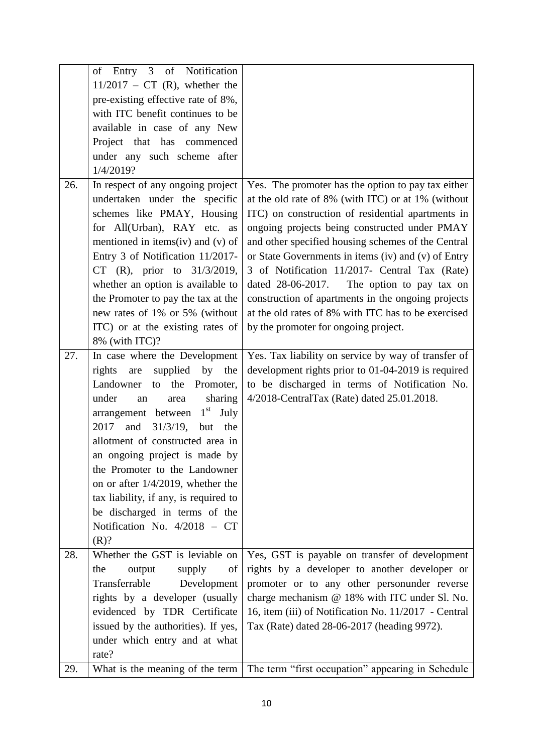|     | of Entry 3 of Notification               |                                                      |
|-----|------------------------------------------|------------------------------------------------------|
|     | $11/2017$ – CT (R), whether the          |                                                      |
|     | pre-existing effective rate of 8%,       |                                                      |
|     | with ITC benefit continues to be         |                                                      |
|     | available in case of any New             |                                                      |
|     | Project that has commenced               |                                                      |
|     | under any such scheme after              |                                                      |
|     | 1/4/2019?                                |                                                      |
| 26. | In respect of any ongoing project        | Yes. The promoter has the option to pay tax either   |
|     | undertaken under the specific            | at the old rate of 8% (with ITC) or at 1% (without   |
|     | schemes like PMAY, Housing               | ITC) on construction of residential apartments in    |
|     | for All(Urban), RAY etc. as              | ongoing projects being constructed under PMAY        |
|     | mentioned in items(iv) and (v) of        | and other specified housing schemes of the Central   |
|     | Entry 3 of Notification 11/2017-         | or State Governments in items (iv) and (v) of Entry  |
|     | CT (R), prior to 31/3/2019,              | 3 of Notification 11/2017- Central Tax (Rate)        |
|     | whether an option is available to        | dated 28-06-2017.<br>The option to pay tax on        |
|     | the Promoter to pay the tax at the       | construction of apartments in the ongoing projects   |
|     | new rates of 1% or 5% (without           | at the old rates of 8% with ITC has to be exercised  |
|     | ITC) or at the existing rates of         | by the promoter for ongoing project.                 |
|     | 8% (with ITC)?                           |                                                      |
| 27. | In case where the Development            | Yes. Tax liability on service by way of transfer of  |
|     | supplied<br>rights<br>by<br>the<br>are   | development rights prior to 01-04-2019 is required   |
|     | the<br>Landowner<br>Promoter,<br>to      | to be discharged in terms of Notification No.        |
|     | under<br>sharing<br>an<br>area           | 4/2018-CentralTax (Rate) dated 25.01.2018.           |
|     | arrangement between $1st$ July           |                                                      |
|     | 2017<br>and<br>$31/3/19$ ,<br>but<br>the |                                                      |
|     | allotment of constructed area in         |                                                      |
|     | an ongoing project is made by            |                                                      |
|     | the Promoter to the Landowner            |                                                      |
|     | on or after $1/4/2019$ , whether the     |                                                      |
|     | tax liability, if any, is required to    |                                                      |
|     | be discharged in terms of the            |                                                      |
|     | Notification No. 4/2018 - CT             |                                                      |
|     | (R)?                                     |                                                      |
| 28. | Whether the GST is leviable on           | Yes, GST is payable on transfer of development       |
|     | the<br>output<br>supply<br>of            | rights by a developer to another developer or        |
|     | Transferrable<br>Development             | promoter or to any other personunder reverse         |
|     | rights by a developer (usually           | charge mechanism @ 18% with ITC under Sl. No.        |
|     | evidenced by TDR Certificate             | 16, item (iii) of Notification No. 11/2017 - Central |
|     | issued by the authorities). If yes,      | Tax (Rate) dated 28-06-2017 (heading 9972).          |
|     | under which entry and at what            |                                                      |
|     | rate?                                    |                                                      |
| 29. | What is the meaning of the term          | The term "first occupation" appearing in Schedule    |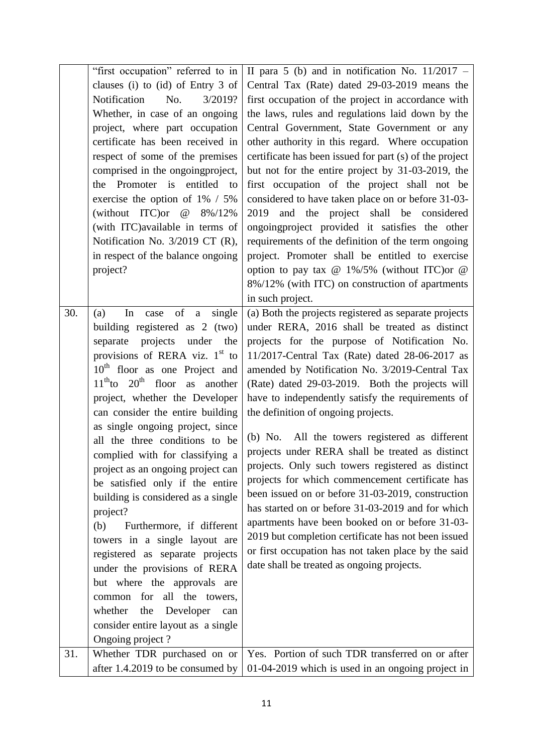|     | "first occupation" referred to in                       | II para 5 (b) and in notification No. $11/2017 -$       |
|-----|---------------------------------------------------------|---------------------------------------------------------|
|     | clauses (i) to (id) of Entry 3 of                       | Central Tax (Rate) dated 29-03-2019 means the           |
|     | Notification<br>No.<br>3/2019?                          | first occupation of the project in accordance with      |
|     | Whether, in case of an ongoing                          | the laws, rules and regulations laid down by the        |
|     | project, where part occupation                          | Central Government, State Government or any             |
|     | certificate has been received in                        | other authority in this regard. Where occupation        |
|     |                                                         |                                                         |
|     | respect of some of the premises                         | certificate has been issued for part (s) of the project |
|     | comprised in the ongoing project,                       | but not for the entire project by 31-03-2019, the       |
|     | the Promoter is entitled to                             | first occupation of the project shall not be            |
|     | exercise the option of $1\%$ / 5%                       | considered to have taken place on or before 31-03-      |
|     | (without ITC) or<br>@<br>8%/12%                         | and the project shall be considered<br>2019             |
|     | (with ITC) available in terms of                        | ongoing provided it satisfies the other                 |
|     | Notification No. 3/2019 CT (R),                         | requirements of the definition of the term ongoing      |
|     | in respect of the balance ongoing                       | project. Promoter shall be entitled to exercise         |
|     | project?                                                | option to pay tax @ $1\%/5\%$ (without ITC) or @        |
|     |                                                         | 8%/12% (with ITC) on construction of apartments         |
|     |                                                         | in such project.                                        |
| 30. | $\sigma$<br>single<br>In<br>(a)<br>case<br>$\mathbf{a}$ | (a) Both the projects registered as separate projects   |
|     | building registered as 2 (two)                          | under RERA, 2016 shall be treated as distinct           |
|     | projects under the<br>separate                          | projects for the purpose of Notification No.            |
|     | provisions of RERA viz. $1st$ to                        | 11/2017-Central Tax (Rate) dated 28-06-2017 as          |
|     | $10th$ floor as one Project and                         | amended by Notification No. 3/2019-Central Tax          |
|     | $11th$ to $20th$ floor as another                       | (Rate) dated 29-03-2019. Both the projects will         |
|     | project, whether the Developer                          | have to independently satisfy the requirements of       |
|     | can consider the entire building                        |                                                         |
|     |                                                         | the definition of ongoing projects.                     |
|     | as single ongoing project, since                        | (b) No. All the towers registered as different          |
|     | all the three conditions to be                          | projects under RERA shall be treated as distinct        |
|     | complied with for classifying a                         | projects. Only such towers registered as distinct       |
|     | project as an ongoing project can                       | projects for which commencement certificate has         |
|     | be satisfied only if the entire                         |                                                         |
|     | building is considered as a single                      | been issued on or before 31-03-2019, construction       |
|     | project?                                                | has started on or before 31-03-2019 and for which       |
|     | Furthermore, if different<br>(b)                        | apartments have been booked on or before 31-03-         |
|     | towers in a single layout are                           | 2019 but completion certificate has not been issued     |
|     | registered as separate projects                         | or first occupation has not taken place by the said     |
|     | under the provisions of RERA                            | date shall be treated as ongoing projects.              |
|     | but where the approvals are                             |                                                         |
|     | common for all the towers,                              |                                                         |
|     | whether<br>the<br>Developer<br>can                      |                                                         |
|     | consider entire layout as a single                      |                                                         |
|     | Ongoing project?                                        |                                                         |
| 31. | Whether TDR purchased on or                             | Yes. Portion of such TDR transferred on or after        |
|     | after 1.4.2019 to be consumed by                        | 01-04-2019 which is used in an ongoing project in       |
|     |                                                         |                                                         |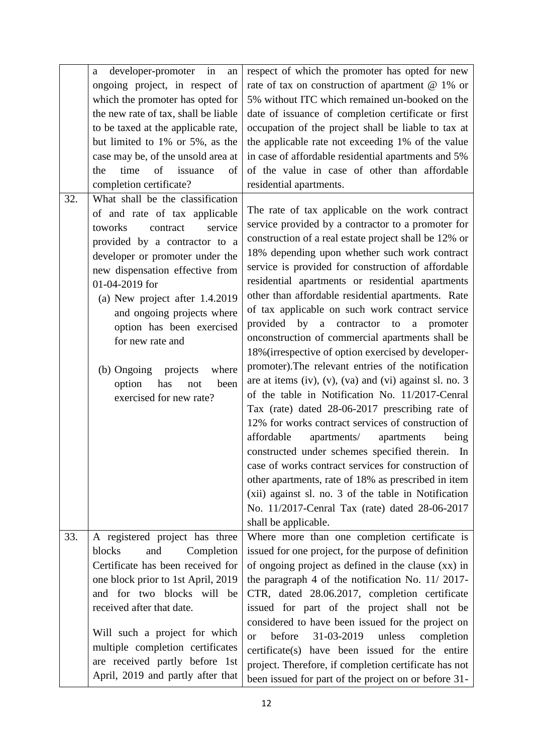|     | developer-promoter in<br>an<br>a<br>ongoing project, in respect of<br>which the promoter has opted for<br>the new rate of tax, shall be liable<br>to be taxed at the applicable rate,<br>but limited to 1% or 5%, as the<br>case may be, of the unsold area at<br>of<br>time<br>issuance<br>the<br>of<br>completion certificate?                                                                                                          | respect of which the promoter has opted for new<br>rate of tax on construction of apartment $@1\%$ or<br>5% without ITC which remained un-booked on the<br>date of issuance of completion certificate or first<br>occupation of the project shall be liable to tax at<br>the applicable rate not exceeding 1% of the value<br>in case of affordable residential apartments and 5%<br>of the value in case of other than affordable<br>residential apartments.                                                                                                                                                                                                                                                                                                                                                                                                                                                                                                                                                                                                                                                                                                                                                                        |
|-----|-------------------------------------------------------------------------------------------------------------------------------------------------------------------------------------------------------------------------------------------------------------------------------------------------------------------------------------------------------------------------------------------------------------------------------------------|--------------------------------------------------------------------------------------------------------------------------------------------------------------------------------------------------------------------------------------------------------------------------------------------------------------------------------------------------------------------------------------------------------------------------------------------------------------------------------------------------------------------------------------------------------------------------------------------------------------------------------------------------------------------------------------------------------------------------------------------------------------------------------------------------------------------------------------------------------------------------------------------------------------------------------------------------------------------------------------------------------------------------------------------------------------------------------------------------------------------------------------------------------------------------------------------------------------------------------------|
| 32. | What shall be the classification<br>of and rate of tax applicable<br>toworks<br>service<br>contract<br>provided by a contractor to a<br>developer or promoter under the<br>new dispensation effective from<br>01-04-2019 for<br>(a) New project after 1.4.2019<br>and ongoing projects where<br>option has been exercised<br>for new rate and<br>(b) Ongoing projects<br>where<br>option<br>has<br>been<br>not<br>exercised for new rate? | The rate of tax applicable on the work contract<br>service provided by a contractor to a promoter for<br>construction of a real estate project shall be 12% or<br>18% depending upon whether such work contract<br>service is provided for construction of affordable<br>residential apartments or residential apartments<br>other than affordable residential apartments. Rate<br>of tax applicable on such work contract service<br>provided<br>by a contractor to<br>a promoter<br>onconstruction of commercial apartments shall be<br>18% (irrespective of option exercised by developer-<br>promoter). The relevant entries of the notification<br>are at items (iv), (v), (va) and (vi) against sl. no. $3$<br>of the table in Notification No. 11/2017-Cenral<br>Tax (rate) dated 28-06-2017 prescribing rate of<br>12% for works contract services of construction of<br>affordable<br>apartments/<br>apartments<br>being<br>constructed under schemes specified therein. In<br>case of works contract services for construction of<br>other apartments, rate of 18% as prescribed in item<br>(xii) against sl. no. 3 of the table in Notification<br>No. 11/2017-Cenral Tax (rate) dated 28-06-2017<br>shall be applicable. |
| 33. | A registered project has three<br>blocks<br>and<br>Completion<br>Certificate has been received for<br>one block prior to 1st April, 2019<br>and for two blocks will be<br>received after that date.<br>Will such a project for which<br>multiple completion certificates                                                                                                                                                                  | Where more than one completion certificate is<br>issued for one project, for the purpose of definition<br>of ongoing project as defined in the clause (xx) in<br>the paragraph 4 of the notification No. 11/2017-<br>CTR, dated 28.06.2017, completion certificate<br>issued for part of the project shall not be<br>considered to have been issued for the project on<br>31-03-2019<br>before<br>unless<br>completion<br><sub>or</sub><br>certificate(s) have been issued for the entire                                                                                                                                                                                                                                                                                                                                                                                                                                                                                                                                                                                                                                                                                                                                            |
|     | are received partly before 1st<br>April, 2019 and partly after that                                                                                                                                                                                                                                                                                                                                                                       | project. Therefore, if completion certificate has not<br>been issued for part of the project on or before 31-                                                                                                                                                                                                                                                                                                                                                                                                                                                                                                                                                                                                                                                                                                                                                                                                                                                                                                                                                                                                                                                                                                                        |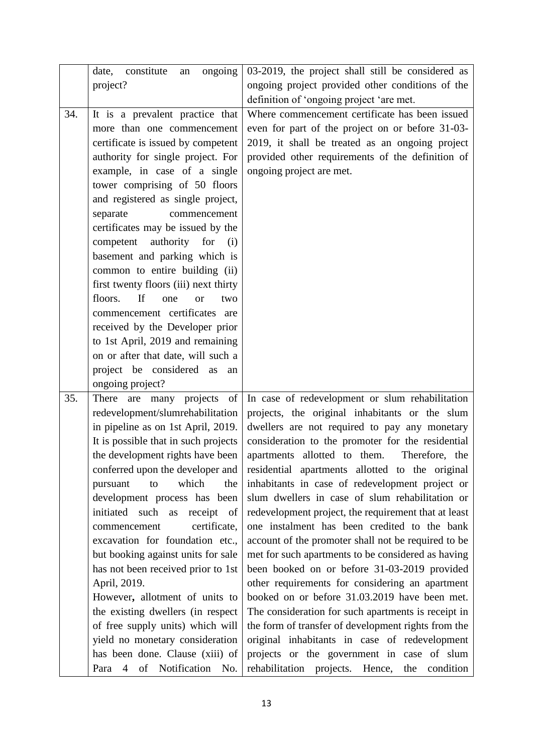|     | ongoing<br>constitute<br>date,<br>an<br>project?                                                                                                                                                                                                                                                                                                                                                                                                                                                                                                                                                                                                                                                                       | 03-2019, the project shall still be considered as<br>ongoing project provided other conditions of the                                                                                                                                                                                                                                                                                                                                                                                                                                                                                                                                                                                                                                                                                                                                                                                                                                                                                                                                                        |
|-----|------------------------------------------------------------------------------------------------------------------------------------------------------------------------------------------------------------------------------------------------------------------------------------------------------------------------------------------------------------------------------------------------------------------------------------------------------------------------------------------------------------------------------------------------------------------------------------------------------------------------------------------------------------------------------------------------------------------------|--------------------------------------------------------------------------------------------------------------------------------------------------------------------------------------------------------------------------------------------------------------------------------------------------------------------------------------------------------------------------------------------------------------------------------------------------------------------------------------------------------------------------------------------------------------------------------------------------------------------------------------------------------------------------------------------------------------------------------------------------------------------------------------------------------------------------------------------------------------------------------------------------------------------------------------------------------------------------------------------------------------------------------------------------------------|
|     |                                                                                                                                                                                                                                                                                                                                                                                                                                                                                                                                                                                                                                                                                                                        | definition of 'ongoing project 'are met.                                                                                                                                                                                                                                                                                                                                                                                                                                                                                                                                                                                                                                                                                                                                                                                                                                                                                                                                                                                                                     |
| 34. | It is a prevalent practice that<br>more than one commencement<br>certificate is issued by competent<br>authority for single project. For<br>example, in case of a single<br>tower comprising of 50 floors<br>and registered as single project,<br>separate<br>commencement<br>certificates may be issued by the<br>authority<br>competent<br>for<br>(i)<br>basement and parking which is<br>common to entire building (ii)<br>first twenty floors (iii) next thirty<br>floors.<br><b>If</b><br>one<br>two<br><sub>or</sub><br>commencement certificates are<br>received by the Developer prior<br>to 1st April, 2019 and remaining<br>on or after that date, will such a<br>project be considered as<br>an             | Where commencement certificate has been issued<br>even for part of the project on or before 31-03-<br>2019, it shall be treated as an ongoing project<br>provided other requirements of the definition of<br>ongoing project are met.                                                                                                                                                                                                                                                                                                                                                                                                                                                                                                                                                                                                                                                                                                                                                                                                                        |
|     | ongoing project?                                                                                                                                                                                                                                                                                                                                                                                                                                                                                                                                                                                                                                                                                                       |                                                                                                                                                                                                                                                                                                                                                                                                                                                                                                                                                                                                                                                                                                                                                                                                                                                                                                                                                                                                                                                              |
| 35. | projects<br>There are<br>many<br>of<br>redevelopment/slumrehabilitation<br>in pipeline as on 1st April, 2019.<br>It is possible that in such projects<br>the development rights have been<br>conferred upon the developer and<br>which<br>pursuant<br>the<br>to<br>development process has been<br>initiated such<br>receipt of<br>as<br>certificate,<br>commencement<br>excavation for foundation etc.,<br>but booking against units for sale<br>has not been received prior to 1st<br>April, 2019.<br>However, allotment of units to<br>the existing dwellers (in respect<br>of free supply units) which will<br>yield no monetary consideration<br>has been done. Clause (xiii) of<br>Para 4<br>of Notification No. | In case of redevelopment or slum rehabilitation<br>projects, the original inhabitants or the slum<br>dwellers are not required to pay any monetary<br>consideration to the promoter for the residential<br>apartments allotted to them.<br>Therefore, the<br>residential apartments allotted to the original<br>inhabitants in case of redevelopment project or<br>slum dwellers in case of slum rehabilitation or<br>redevelopment project, the requirement that at least<br>one instalment has been credited to the bank<br>account of the promoter shall not be required to be<br>met for such apartments to be considered as having<br>been booked on or before 31-03-2019 provided<br>other requirements for considering an apartment<br>booked on or before 31.03.2019 have been met.<br>The consideration for such apartments is receipt in<br>the form of transfer of development rights from the<br>original inhabitants in case of redevelopment<br>projects or the government in case of slum<br>rehabilitation projects. Hence, the<br>condition |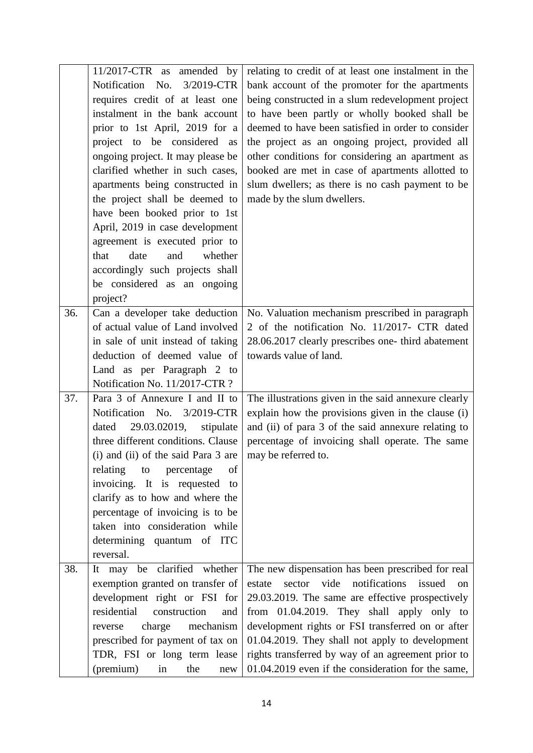|     | $11/2017$ -CTR as<br>amended by     | relating to credit of at least one instalment in the      |
|-----|-------------------------------------|-----------------------------------------------------------|
|     | Notification No.<br>3/2019-CTR      | bank account of the promoter for the apartments           |
|     | requires credit of at least one     | being constructed in a slum redevelopment project         |
|     | instalment in the bank account      | to have been partly or wholly booked shall be             |
|     | prior to 1st April, 2019 for a      | deemed to have been satisfied in order to consider        |
|     | project to be considered as         | the project as an ongoing project, provided all           |
|     | ongoing project. It may please be   | other conditions for considering an apartment as          |
|     | clarified whether in such cases,    | booked are met in case of apartments allotted to          |
|     | apartments being constructed in     | slum dwellers; as there is no cash payment to be          |
|     | the project shall be deemed to      | made by the slum dwellers.                                |
|     | have been booked prior to 1st       |                                                           |
|     | April, 2019 in case development     |                                                           |
|     | agreement is executed prior to      |                                                           |
|     | that<br>date<br>whether<br>and      |                                                           |
|     | accordingly such projects shall     |                                                           |
|     | be considered as an ongoing         |                                                           |
|     | project?                            |                                                           |
| 36. | Can a developer take deduction      | No. Valuation mechanism prescribed in paragraph           |
|     | of actual value of Land involved    | 2 of the notification No. 11/2017- CTR dated              |
|     | in sale of unit instead of taking   | 28.06.2017 clearly prescribes one- third abatement        |
|     | deduction of deemed value of        | towards value of land.                                    |
|     | Land as per Paragraph 2 to          |                                                           |
|     | Notification No. 11/2017-CTR ?      |                                                           |
| 37. | Para 3 of Annexure I and II to      | The illustrations given in the said annexure clearly      |
|     | Notification No. 3/2019-CTR         | explain how the provisions given in the clause (i)        |
|     | 29.03.02019,<br>dated<br>stipulate  | and (ii) of para 3 of the said annexure relating to       |
|     | three different conditions. Clause  | percentage of invoicing shall operate. The same           |
|     | (i) and (ii) of the said Para 3 are | may be referred to.                                       |
|     | of<br>relating<br>percentage<br>to  |                                                           |
|     | invoicing. It is requested<br>to    |                                                           |
|     | clarify as to how and where the     |                                                           |
|     | percentage of invoicing is to be    |                                                           |
|     | taken into consideration while      |                                                           |
|     | determining quantum of ITC          |                                                           |
|     | reversal.                           |                                                           |
| 38. | be clarified<br>whether<br>It may   | The new dispensation has been prescribed for real         |
|     | exemption granted on transfer of    | vide<br>notifications<br>issued<br>sector<br>estate<br>on |
|     | development right or FSI for        | 29.03.2019. The same are effective prospectively          |
|     | residential<br>construction<br>and  | from 01.04.2019. They shall apply only to                 |
|     | charge<br>mechanism<br>reverse      | development rights or FSI transferred on or after         |
|     | prescribed for payment of tax on    | 01.04.2019. They shall not apply to development           |
|     | TDR, FSI or long term lease         | rights transferred by way of an agreement prior to        |
|     | (premium)<br>the<br>in<br>new       | 01.04.2019 even if the consideration for the same,        |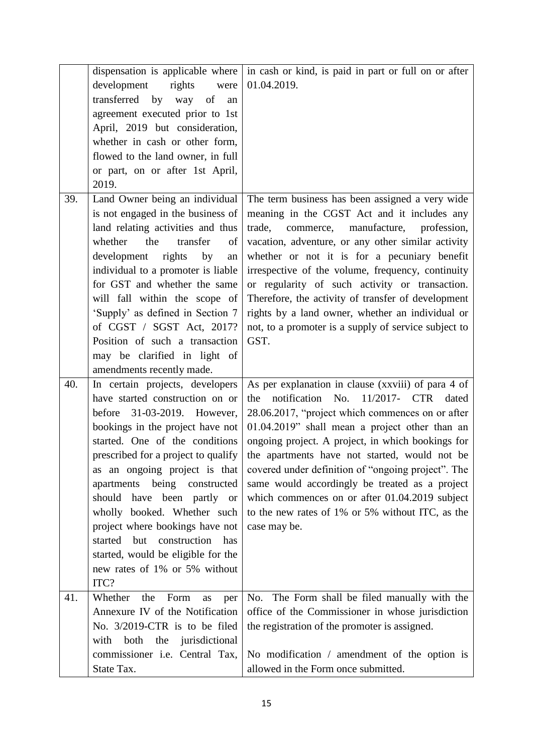|     | dispensation is applicable where      | in cash or kind, is paid in part or full on or after |
|-----|---------------------------------------|------------------------------------------------------|
|     |                                       |                                                      |
|     | development<br>rights<br>were         | 01.04.2019.                                          |
|     | transferred by way<br>of<br>an        |                                                      |
|     | agreement executed prior to 1st       |                                                      |
|     | April, 2019 but consideration,        |                                                      |
|     | whether in cash or other form,        |                                                      |
|     | flowed to the land owner, in full     |                                                      |
|     | or part, on or after 1st April,       |                                                      |
|     | 2019.                                 |                                                      |
| 39. | Land Owner being an individual        | The term business has been assigned a very wide      |
|     | is not engaged in the business of     | meaning in the CGST Act and it includes any          |
|     | land relating activities and thus     | trade,<br>commerce, manufacture,<br>profession,      |
|     | the<br>whether<br>transfer<br>of      | vacation, adventure, or any other similar activity   |
|     | development<br>rights<br>by<br>an     | whether or not it is for a pecuniary benefit         |
|     | individual to a promoter is liable    | irrespective of the volume, frequency, continuity    |
|     | for GST and whether the same          |                                                      |
|     |                                       | or regularity of such activity or transaction.       |
|     | will fall within the scope of         | Therefore, the activity of transfer of development   |
|     | 'Supply' as defined in Section 7      | rights by a land owner, whether an individual or     |
|     | of CGST / SGST Act, 2017?             | not, to a promoter is a supply of service subject to |
|     | Position of such a transaction        | GST.                                                 |
|     | may be clarified in light of          |                                                      |
|     | amendments recently made.             |                                                      |
| 40. | In certain projects, developers       | As per explanation in clause (xxviii) of para 4 of   |
|     | have started construction on or       | notification No.<br>11/2017- CTR<br>the<br>dated     |
|     | before 31-03-2019. However,           | 28.06.2017, "project which commences on or after     |
|     | bookings in the project have not      | 01.04.2019" shall mean a project other than an       |
|     | started. One of the conditions        | ongoing project. A project, in which bookings for    |
|     | prescribed for a project to qualify   | the apartments have not started, would not be        |
|     | as an ongoing project is that         | covered under definition of "ongoing project". The   |
|     | being<br>apartments<br>constructed    | same would accordingly be treated as a project       |
|     | should have been partly or            | which commences on or after 01.04.2019 subject       |
|     | wholly booked. Whether such           | to the new rates of 1% or 5% without ITC, as the     |
|     | project where bookings have not       | case may be.                                         |
|     |                                       |                                                      |
|     | started<br>but<br>construction<br>has |                                                      |
|     | started, would be eligible for the    |                                                      |
|     | new rates of 1% or 5% without         |                                                      |
|     | ITC?                                  |                                                      |
| 41. | Whether<br>the<br>Form<br>as<br>per   | The Form shall be filed manually with the<br>No.     |
|     | Annexure IV of the Notification       | office of the Commissioner in whose jurisdiction     |
|     | No. 3/2019-CTR is to be filed         | the registration of the promoter is assigned.        |
|     | with both the jurisdictional          |                                                      |
|     | commissioner i.e. Central Tax,        | No modification $/$ amendment of the option is       |
|     | State Tax.                            | allowed in the Form once submitted.                  |